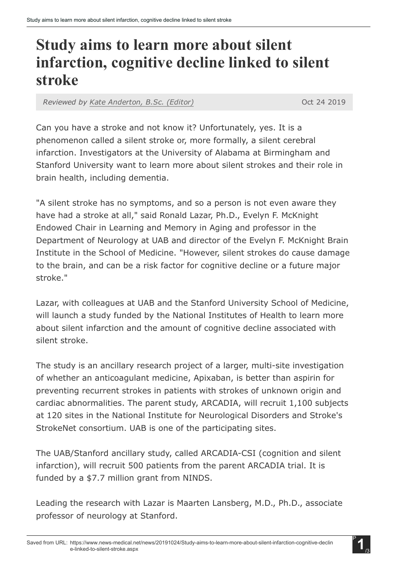## Study aims to learn more about silent infarction, cognitive decline linked to silent stroke

*Reviewed by Kate [Anderton,](https://www.news-medical.net/medical/authors/kate-anderton) B.Sc. (Editor)* Oct 24 2019

Can you have a stroke and not know it? Unfortunately, yes. It is a phenomenon called a silent stroke or, more formally, a silent cerebral infarction. Investigators at the University of Alabama at Birmingham and Stanford University want to learn more about silent strokes and their role in brain health, including dementia.

"A silent stroke has no symptoms, and so a person is not even aware they have had a stroke at all," said Ronald Lazar, Ph.D., Evelyn F. McKnight Endowed Chair in Learning and Memory in Aging and professor in the Department of Neurology at UAB and director of the Evelyn F. McKnight Brain Institute in the School of Medicine. "However, silent strokes do cause damage to the brain, and can be a risk factor for cognitive decline or a future major stroke."

Lazar, with colleagues at UAB and the Stanford University School of Medicine, will launch a study funded by the National Institutes of Health to learn more about silent infarction and the amount of cognitive decline associated with silent stroke.

The study is an ancillary research project of a larger, multi-site investigation of whether an anticoagulant medicine, Apixaban, is better than aspirin for preventing recurrent strokes in patients with strokes of unknown origin and cardiac abnormalities. The parent study, ARCADIA, will recruit 1,100 subjects at 120 sites in the National Institute for Neurological Disorders and Stroke's StrokeNet consortium. UAB is one of the participating sites.

The UAB/Stanford ancillary study, called ARCADIA-CSI (cognition and silent infarction), will recruit 500 patients from the parent ARCADIA trial. It is funded by a \$7.7 million grant from NINDS.

Leading the research with Lazar is Maarten Lansberg, M.D., Ph.D., associate professor of neurology at Stanford.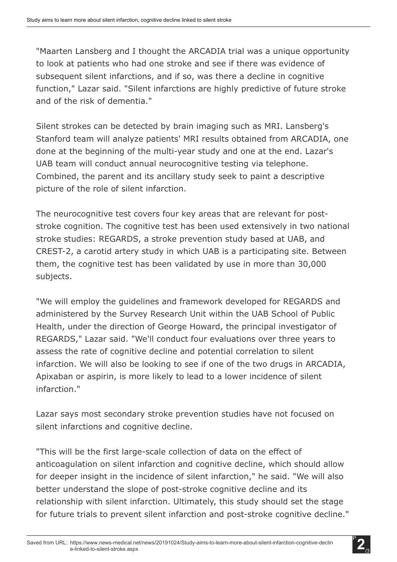"Maarten Lansberg and I thought the ARCADIA trial was a unique opportunity to look at patients who had one stroke and see if there was evidence of subsequent silent infarctions, and if so, was there a decline in cognitive function," Lazar said. "Silent infarctions are highly predictive of future stroke and of the risk of dementia."

Silent strokes can be detected by brain imaging such as MRI. Lansberg's Stanford team will analyze patients' MRI results obtained from ARCADIA, one done at the beginning of the multi-year study and one at the end. Lazar's UAB team will conduct annual neurocognitive testing via telephone. Combined, the parent and its ancillary study seek to paint a descriptive picture of the role of silent infarction.

The neurocognitive test covers four key areas that are relevant for poststroke cognition. The cognitive test has been used extensively in two national stroke studies: REGARDS, a stroke prevention study based at UAB, and CREST-2, a carotid artery study in which UAB is a participating site. Between them, the cognitive test has been validated by use in more than 30,000 subjects.

"We will employ the guidelines and framework developed for REGARDS and administered by the Survey Research Unit within the UAB School of Public Health, under the direction of George Howard, the principal investigator of REGARDS," Lazar said. "We'll conduct four evaluations over three years to assess the rate of cognitive decline and potential correlation to silent infarction. We will also be looking to see if one of the two drugs in ARCADIA, Apixaban or aspirin, is more likely to lead to a lower incidence of silent infarction."

Lazar says most secondary stroke prevention studies have not focused on silent infarctions and cognitive decline.

"This will be the first large-scale collection of data on the effect of anticoagulation on silent infarction and cognitive decline, which should allow for deeper insight in the incidence of silent infarction," he said. "We will also better understand the slope of post-stroke cognitive decline and its relationship with silent infarction. Ultimately, this study should set the stage for future trials to prevent silent infarction and post-stroke cognitive decline."